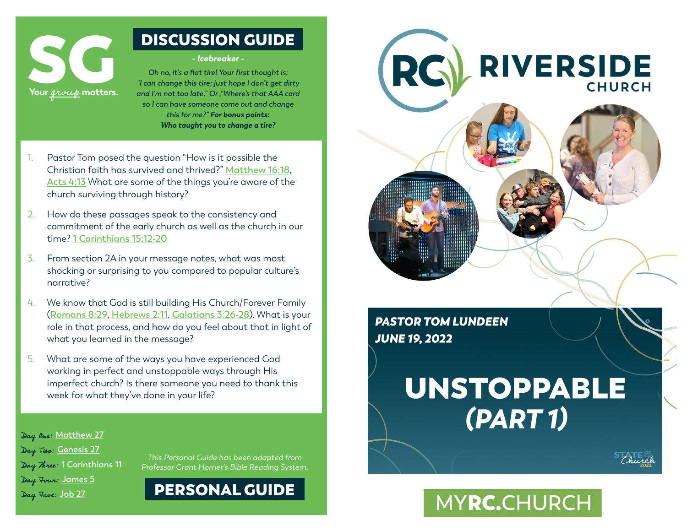

# DISCUSSION GUIDE

#### **- Icebreaker -**

*Oh no, it's a flat tire! Your first thought is: "I can change this tire; just hope I don't get dirty and I'm not too late." Or ,"Where's that AAA card so I can have someone come out and change this for me?" For bonus points: Who taught you to change a tire?*

- 1. Pastor Tom posed the question "How is it possible the Christian faith has survived and thrived?" **[Matthew 16:18](https://www.bible.com/en-GB/bible/70/MAT.16.GW)**, **Acts 4:13** What are some of the things you're aware of the church surviving through history?
- 2. How do these passages speak to the consistency and commitment of the early church as well as the church in our time? **1 Corinthians 15:12-20**
- 3. From section 2A in your message notes, what was most shocking or surprising to you compared to popular culture's narrative?
- 4. We know that God is still building His Church/Forever Family (**[Romans 8:29](https://www.bible.com/en-GB/bible/116/ROM.8.NLT)**, **[Hebrews 2:11](https://www.bible.com/en-GB/bible/116/HEB.2.NLT)**, **[Galatians 3:26-28](https://www.bible.com/en-GB/bible/116/GAL.3.NLT)**). What is your role in that process, and how do you feel about that in light of what you learned in the message?
- 5. What are some of the ways you have experienced God working in perfect and unstoppable ways through His imperfect church? Is there someone you need to thank this week for what they've done in your life?



**PASTOR TOM LUNDEEN JUNE 19, 2022** 

# **UNSTOPPABLE**  $(PART1)$

MYRC.CHURCH

Day One: **[Matthew 27](https://www.bible.com/en-GB/bible/116/MAT.27.NLT)** Day Two: **[Genesis 27](https://www.bible.com/en-GB/bible/116/GEN.27.NLT)** Day Three: **[1 Corinthians 11](https://www.bible.com/en-GB/bible/116/1CO.11.NLT)** Day Four: **[James 5](https://www.bible.com/en-GB/bible/116/JAS.5.NLT)** Day Five: **[Job 27](https://www.bible.com/en-GB/bible/116/JOB.27.NLT)**

This Personal Guide has been adapted from Professor Grant Horner's Bible Reading System.

PERSONAL GUIDE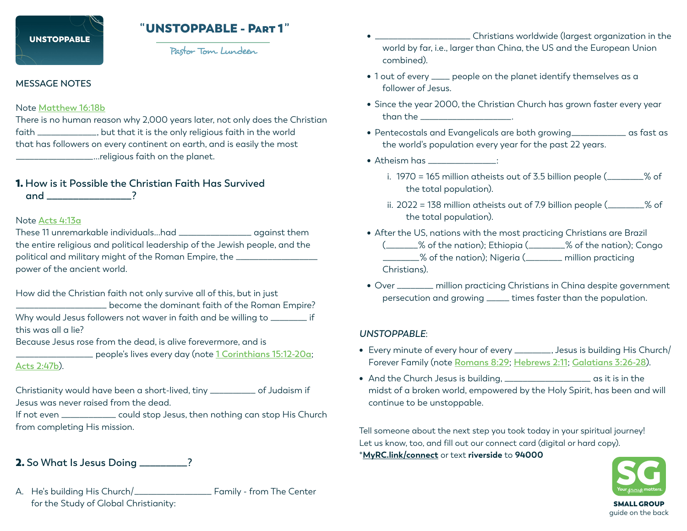# **UNSTOPPARLE**

# " UNSTOPPABLE - Part 1"

Pastor Tom Lundeen

## **MESSAGE NOTES**

#### Note **[Matthew 16:18b](https://www.bible.com/en-GB/bible/70/MAT.16.GW)**

There is no human reason why 2,000 years later, not only does the Christian faith \_\_\_\_\_\_\_\_\_\_\_\_\_, but that it is the only religious faith in the world that has followers on every continent on earth, and is easily the most \_\_\_\_\_\_\_\_\_\_\_\_\_\_\_\_\_...religious faith on the planet.

# 1. **How is it Possible the Christian Faith Has Survived**

 **and \_\_\_\_\_\_\_\_\_\_\_\_\_\_\_\_?**

#### Note **[Acts 4:13a](https://www.biblegateway.com/passage/?search=Acts%204%3A13&version=NIV)**

These 11 unremarkable individuals...had \_\_\_\_\_\_\_\_\_\_\_\_\_\_\_\_ against them the entire religious and political leadership of the Jewish people, and the political and military might of the Roman Empire, the \_\_\_\_\_\_\_\_\_\_\_\_\_\_\_\_\_\_\_\_\_\_\_\_\_\_ power of the ancient world.

How did the Christian faith not only survive all of this, but in just \_\_\_\_\_\_\_\_\_\_\_\_\_\_\_\_\_\_\_\_ become the dominant faith of the Roman Empire? Why would Jesus followers not waver in faith and be willing to \_\_\_\_\_\_\_\_ if this was all a lie?

Because Jesus rose from the dead, is alive forevermore, and is

\_\_\_\_\_\_\_\_\_\_\_\_\_\_\_\_\_ people's lives every day (note **[1 Corinthians 15:12-20a](https://www.bible.com/en-GB/bible/116/1CO.15.NLT)**;

**[Acts 2:47b](https://www.bible.com/en-GB/bible/116/ACT.2.NLT)**).

Christianity would have been a short-lived, tiny \_\_\_\_\_\_\_\_\_\_ of Judaism if Jesus was never raised from the dead.

If not even \_\_\_\_\_\_\_\_\_\_\_\_ could stop Jesus, then nothing can stop His Church from completing His mission.

# 2. **So What Is Jesus Doing \_\_\_\_\_\_\_\_\_?**

A. He's building His Church/\_\_\_\_\_\_\_\_\_\_\_\_\_\_\_\_\_ Family - from The Center for the Study of Global Christianity:

- \_\_\_\_\_\_\_\_\_\_\_\_\_\_\_\_\_\_\_\_\_ Christians worldwide (largest organization in the world by far, i.e., larger than China, the US and the European Union combined).
- 1 out of every \_\_\_\_ people on the planet identify themselves as a follower of Jesus.
- Since the year 2000, the Christian Church has grown faster every year than the \_\_\_\_\_\_\_\_\_\_\_\_\_\_\_\_\_\_\_\_.
- Pentecostals and Evangelicals are both growing\_\_\_\_\_\_\_\_\_\_\_\_ as fast as the world's population every year for the past 22 years.
- Atheism has \_\_\_\_\_\_\_\_\_\_\_\_\_\_\_:
	- i. 1970 = 165 million atheists out of 3.5 billion people (\_\_\_\_\_\_\_\_% of the total population).
	- ii. 2022 = 138 million atheists out of 7.9 billion people (\_\_\_\_\_\_\_\_% of the total population).
- After the US, nations with the most practicing Christians are Brazil (\_\_\_\_\_\_\_% of the nation); Ethiopia (\_\_\_\_\_\_\_\_% of the nation); Congo \_\_\_\_\_\_\_\_% of the nation); Nigeria (\_\_\_\_\_\_\_\_ million practicing Christians).
- Over \_\_\_\_\_\_\_\_ million practicing Christians in China despite government persecution and growing \_\_\_\_\_ times faster than the population.

## *UNSTOPPABLE*:

- Every minute of every hour of every \_\_\_\_\_\_\_\_, Jesus is building His Church/ Forever Family (note **[Romans 8:29](https://www.bible.com/en-GB/bible/116/ROM.8.NLT)**; **[Hebrews 2:11](https://www.bible.com/en-GB/bible/116/HEB.2.NLT)**; **[Galatians 3:26-28](https://www.bible.com/en-GB/bible/116/GAL.3.NLT)**).
- And the Church Jesus is building, \_\_\_\_\_\_\_\_\_\_\_\_\_\_\_\_\_\_\_ as it is in the midst of a broken world, empowered by the Holy Spirit, has been and will continue to be unstoppable.

Tell someone about the next step you took today in your spiritual journey! Let us know, too, and fill out our connect card (digital or hard copy).

\***[MyRC.link/connect](http://MyRC.link/connect)** or text **riverside** to **94000**



guide on the back